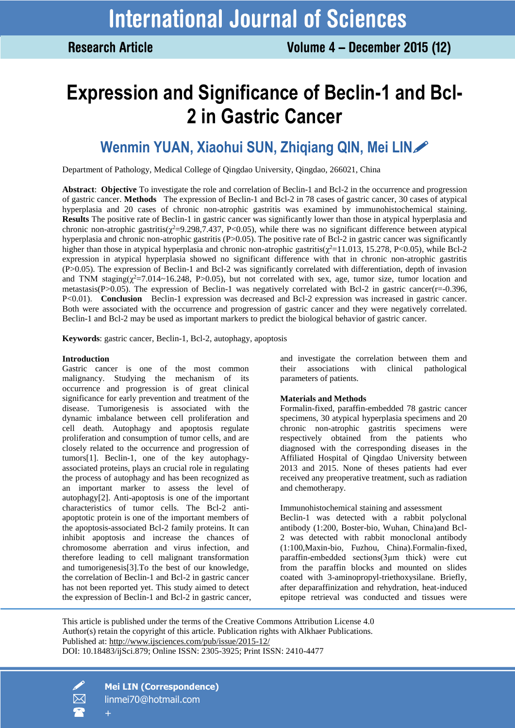# **Expression and Significance of Beclin-1 and Bcl-2 in Gastric Cancer**

# **Wenmin YUAN, Xiaohui SUN, Zhiqiang QIN, Mei LIN**

Department of Pathology, Medical College of Qingdao University, Qingdao, 266021, China

**Abstract**: **Objective** To investigate the role and correlation of Beclin-1 and Bcl-2 in the occurrence and progression of gastric cancer. **Methods** The expression of Beclin-1 and Bcl-2 in 78 cases of gastric cancer, 30 cases of atypical hyperplasia and 20 cases of chronic non-atrophic gastritis was examined by immunohistochemical staining. **Results** The positive rate of Beclin-1 in gastric cancer was significantly lower than those in atypical hyperplasia and chronic non-atrophic gastritis( $\chi^2$ =9.298,7.437, P<0.05), while there was no significant difference between atypical hyperplasia and chronic non-atrophic gastritis (P>0.05). The positive rate of Bcl-2 in gastric cancer was significantly higher than those in atypical hyperplasia and chronic non-atrophic gastritis( $\chi^2$ =11.013, 15.278, P<0.05), while Bcl-2 expression in atypical hyperplasia showed no significant difference with that in chronic non-atrophic gastritis (P>0.05). The expression of Beclin-1 and Bcl-2 was significantly correlated with differentiation, depth of invasion and TNM staging( $\chi^2$ =7.014~16.248, P>0.05), but not correlated with sex, age, tumor size, tumor location and metastasis(P $>0.05$ ). The expression of Beclin-1 was negatively correlated with Bcl-2 in gastric cancer( $r=0.396$ , P<0.01). **Conclusion** Beclin-1 expression was decreased and Bcl-2 expression was increased in gastric cancer. Both were associated with the occurrence and progression of gastric cancer and they were negatively correlated. Beclin-1 and Bcl-2 may be used as important markers to predict the biological behavior of gastric cancer.

**Keywords**: gastric cancer, Beclin-1, Bcl-2, autophagy, apoptosis

#### **Introduction**

Gastric cancer is one of the most common malignancy. Studying the mechanism of its occurrence and progression is of great clinical significance for early prevention and treatment of the disease. Tumorigenesis is associated with the dynamic imbalance between cell proliferation and cell death. Autophagy and apoptosis regulate proliferation and consumption of tumor cells, and are closely related to the occurrence and progression of tumors[1]. Beclin-1, one of the key autophagyassociated proteins, plays an crucial role in regulating the process of autophagy and has been recognized as an important marker to assess the level of autophagy[2]. Anti-apoptosis is one of the important characteristics of tumor cells. The Bcl-2 antiapoptotic protein is one of the important members of the apoptosis-associated Bcl-2 family proteins. It can inhibit apoptosis and increase the chances of chromosome aberration and virus infection, and therefore leading to cell malignant transformation and tumorigenesis[3].To the best of our knowledge, the correlation of Beclin-1 and Bcl-2 in gastric cancer has not been reported yet. This study aimed to detect the expression of Beclin-1 and Bcl-2 in gastric cancer, and investigate the correlation between them and their associations with clinical pathological parameters of patients.

#### **Materials and Methods**

Formalin-fixed, paraffin-embedded 78 gastric cancer specimens, 30 atypical hyperplasia specimens and 20 chronic non-atrophic gastritis specimens were respectively obtained from the patients who diagnosed with the corresponding diseases in the Affiliated Hospital of Qingdao University between 2013 and 2015. None of theses patients had ever received any preoperative treatment, such as radiation and chemotherapy.

Immunohistochemical staining and assessment

Beclin-1 was detected with a rabbit polyclonal antibody (1:200, Boster-bio, Wuhan, China)and Bcl-2 was detected with rabbit monoclonal antibody (1:100,Maxin-bio, Fuzhou, China).Formalin-fixed, paraffin-embedded sections(3μm thick) were cut from the paraffin blocks and mounted on slides coated with 3-aminopropyl-triethoxysilane. Briefly, after deparaffinization and rehydration, heat-induced epitope retrieval was conducted and tissues were

This article is published under the terms of the Creative Commons Attribution License 4.0 Author(s) retain the copyright of this article. Publication rights with Alkhaer Publications. Published at:<http://www.ijsciences.com/pub/issue/2015-12/> DOI: 10.18483/ijSci.879; Online ISSN: 2305-3925; Print ISSN: 2410-4477



 **Mei LIN (Correspondence)** linmei70@hotmail.com +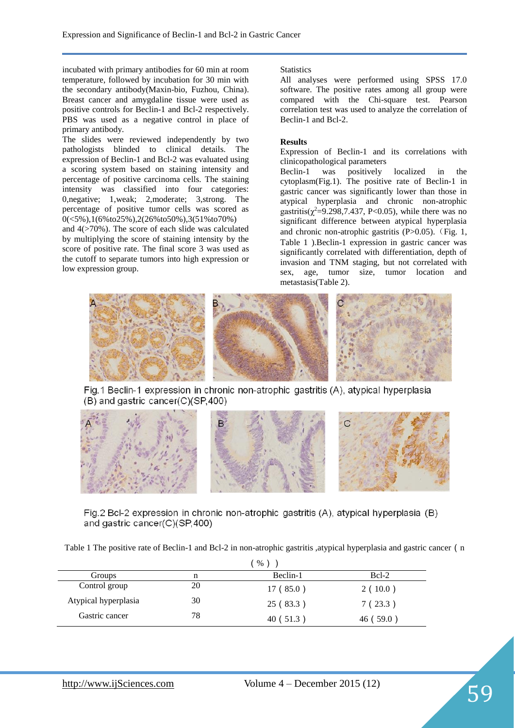incubated with primary antibodies for 60 min at room temperature, followed by incubation for 30 min with the secondary antibody(Maxin-bio, Fuzhou, China). Breast cancer and amygdaline tissue were used as positive controls for Beclin-1 and Bcl-2 respectively. PBS was used as a negative control in place of primary antibody.

The slides were reviewed independently by two pathologists blinded to clinical details. The expression of Beclin-1 and Bcl-2 was evaluated using a scoring system based on staining intensity and percentage of positive carcinoma cells. The staining intensity was classified into four categories: 0,negative; 1,weak; 2,moderate; 3,strong. The percentage of positive tumor cells was scored as 0(<5%),1(6%to25%),2(26%to50%),3(51%to70%)

and  $4$ ( $>70$ %). The score of each slide was calculated by multiplying the score of staining intensity by the score of positive rate. The final score 3 was used as the cutoff to separate tumors into high expression or low expression group.

# **Statistics**

All analyses were performed using SPSS 17.0 software. The positive rates among all group were compared with the Chi-square test. Pearson correlation test was used to analyze the correlation of Beclin-1 and Bcl-2.

# **Results**

Expression of Beclin-1 and its correlations with

clinicopathological parameters<br>Beclin-1 was positively Beclin-1 was positively localized in the cytoplasm(Fig.1). The positive rate of Beclin-1 in gastric cancer was significantly lower than those in atypical hyperplasia and chronic non-atrophic gastritis( $\chi^2$ =9.298,7.437, P<0.05), while there was no significant difference between atypical hyperplasia and chronic non-atrophic gastritis  $(P>0.05)$ . (Fig. 1, Table 1 ).Beclin-1 expression in gastric cancer was significantly correlated with differentiation, depth of invasion and TNM staging, but not correlated with sex, age, tumor size, tumor location and metastasis(Table 2).



Fig. 1 Beclin-1 expression in chronic non-atrophic gastritis (A), atypical hyperplasia (B) and gastric cancer(C)(SP,400)



Fig.2 Bcl-2 expression in chronic non-atrophic gastritis (A), atypical hyperplasia (B) and gastric cancer(C)(SP,400)

Table 1 The positive rate of Beclin-1 and Bcl-2 in non-atrophic gastritis , atypical hyperplasia and gastric cancer (n

|                      |    | $\%$      |           |  |
|----------------------|----|-----------|-----------|--|
| Groups               | n  | Beclin-1  | $Bcl-2$   |  |
| Control group        | 20 | 17(85.0)  | 2(10.0)   |  |
| Atypical hyperplasia | 30 | 25 (83.3) | 7(23.3)   |  |
| Gastric cancer       | 78 | 40 (51.3) | 46 (59.0) |  |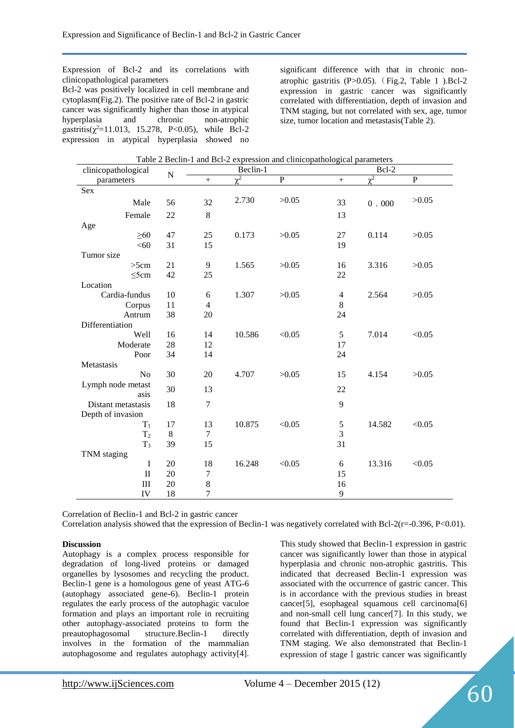Expression of Bcl-2 and its correlations with clinicopathological parameters Bcl-2 was positively localized in cell membrane and cytoplasm(Fig.2). The positive rate of Bcl-2 in gastric cancer was significantly higher than those in atypical hyperplasia and chronic non-atrophic gastritis( $\chi^2$ =11.013, 15.278, P<0.05), while Bcl-2 expression in atypical hyperplasia showed no

significant difference with that in chronic nonatrophic gastritis (P>0.05).(Fig.2, Table 1 ).Bcl-2 expression in gastric cancer was significantly correlated with differentiation, depth of invasion and TNM staging, but not correlated with sex, age, tumor size, tumor location and metastasis(Table 2).

| Table 2 Bechn-T and BcI-2 expression and clinicopathological parameters |    |                  |                       |             |                |          |              |  |
|-------------------------------------------------------------------------|----|------------------|-----------------------|-------------|----------------|----------|--------------|--|
| clinicopathological<br>$\mathbf N$                                      |    | Beclin-1         |                       |             | Bcl-2          |          |              |  |
| parameters                                                              |    | $^{+}$           | $\overline{\gamma^2}$ | $\mathbf P$ | $^{+}$         | $\chi^2$ | $\mathbf{P}$ |  |
| Sex                                                                     |    |                  |                       |             |                |          |              |  |
| Male                                                                    | 56 | 32               | 2.730                 | >0.05       | 33             | $0.000$  | >0.05        |  |
| Female                                                                  | 22 | 8                |                       |             | 13             |          |              |  |
| Age                                                                     |    |                  |                       |             |                |          |              |  |
| $\geq 60$                                                               | 47 | 25               | 0.173                 | >0.05       | 27             | 0.114    | >0.05        |  |
| < 60                                                                    | 31 | 15               |                       |             | 19             |          |              |  |
| Tumor size                                                              |    |                  |                       |             |                |          |              |  |
| >5cm                                                                    | 21 | 9                | 1.565                 | >0.05       | 16             | 3.316    | >0.05        |  |
| $\leq$ 5cm                                                              | 42 | 25               |                       |             | 22             |          |              |  |
| Location                                                                |    |                  |                       |             |                |          |              |  |
| Cardia-fundus                                                           | 10 | $\sqrt{6}$       | 1.307                 | >0.05       | $\overline{4}$ | 2.564    | >0.05        |  |
| Corpus                                                                  | 11 | $\overline{4}$   |                       |             | 8              |          |              |  |
| Antrum                                                                  | 38 | 20               |                       |             | 24             |          |              |  |
| Differentiation                                                         |    |                  |                       |             |                |          |              |  |
|                                                                         |    |                  |                       |             |                |          |              |  |
| Well                                                                    | 16 | 14               | 10.586                | < 0.05      | 5              | 7.014    | < 0.05       |  |
| Moderate                                                                | 28 | 12               |                       |             | 17             |          |              |  |
| Poor                                                                    | 34 | 14               |                       |             | 24             |          |              |  |
| Metastasis                                                              |    |                  |                       |             |                |          |              |  |
| N <sub>o</sub>                                                          | 30 | 20               | 4.707                 | >0.05       | 15             | 4.154    | >0.05        |  |
| Lymph node metast<br>asis                                               | 30 | 13               |                       |             | 22             |          |              |  |
| Distant metastasis                                                      | 18 | $\tau$           |                       |             | 9              |          |              |  |
| Depth of invasion                                                       |    |                  |                       |             |                |          |              |  |
| $T_1$                                                                   | 17 | 13               | 10.875                | < 0.05      | $\sqrt{5}$     | 14.582   | < 0.05       |  |
| T <sub>2</sub>                                                          | 8  | $\tau$           |                       |             | 3              |          |              |  |
| $T_3$                                                                   | 39 | 15               |                       |             | 31             |          |              |  |
| TNM staging                                                             |    |                  |                       |             |                |          |              |  |
| $\bf I$                                                                 | 20 | 18               | 16.248                | < 0.05      | 6              | 13.316   | < 0.05       |  |
| $\mathbf{I}$                                                            | 20 | $\boldsymbol{7}$ |                       |             | 15             |          |              |  |
| III                                                                     | 20 | $\,8\,$          |                       |             | 16             |          |              |  |
| IV                                                                      | 18 | $\boldsymbol{7}$ |                       |             | 9              |          |              |  |
|                                                                         |    |                  |                       |             |                |          |              |  |

Table 2 Beclin-1 and Bcl-2 expression and clinicopathological parameters

Correlation of Beclin-1 and Bcl-2 in gastric cancer

Correlation analysis showed that the expression of Beclin-1 was negatively correlated with Bcl-2(r=-0.396, P<0.01).

# **Discussion**

Autophagy is a complex process responsible for degradation of long-lived proteins or damaged organelles by lysosomes and recycling the product. Beclin-1 gene is a homologous gene of yeast ATG-6 (autophagy associated gene-6). Beclin-1 protein regulates the early process of the autophagic vaculoe formation and plays an important role in recruiting other autophagy-associated proteins to form the preautophagosomal structure.Beclin-1 directly involves in the formation of the mammalian autophagosome and regulates autophagy activity[4].

This study showed that Beclin-1 expression in gastric cancer was significantly lower than those in atypical hyperplasia and chronic non-atrophic gastritis. This indicated that decreased Beclin-1 expression was associated with the occurrence of gastric cancer. This is in accordance with the previous studies in breast cancer[5], esophageal squamous cell carcinoma[6] and non-small cell lung cancer[7]. In this study, we found that Beclin-1 expression was significantly correlated with differentiation, depth of invasion and TNM staging. We also demonstrated that Beclin-1 expression of stage I gastric cancer was significantly